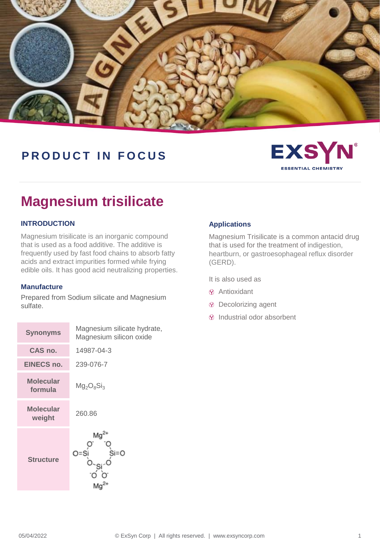

## **PRODUCT IN FOCUS**



# **Magnesium trisilicate**

#### **INTRODUCTION**

Magnesium trisilicate is an inorganic compound that is used as a food additive. The additive is frequently used by fast food chains to absorb fatty acids and extract impurities formed while frying edible oils. It has good acid neutralizing properties.

#### **Manufacture**

Prepared from Sodium silicate and Magnesium sulfate.

| <b>Synonyms</b>             | Magnesium silicate hydrate,<br>Magnesium silicon oxide |  |
|-----------------------------|--------------------------------------------------------|--|
| CAS no.                     | 14987-04-3                                             |  |
| <b>EINECS no.</b>           | 239-076-7                                              |  |
| <b>Molecular</b><br>formula | $Mg_2O_8Si_3$                                          |  |
| <b>Molecular</b><br>weight  | 260.86                                                 |  |
| <b>Structure</b>            | Mg<br>Si=O<br>O=S                                      |  |

#### **Applications**

Magnesium Trisilicate is a common antacid drug that is used for the treatment of indigestion, heartburn, or gastroesophageal reflux disorder (GERD).

It is also used as

- Antioxidant
- Decolorizing agent
- $\circledR$  Industrial odor absorbent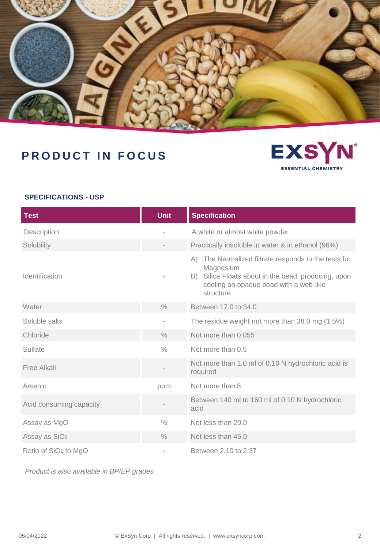

# **PRODUCT IN FOCUS**



#### **SPECIFICATIONS - USP**

| <b>Test</b>                      | <b>Unit</b>              | <b>Specification</b>                                                                                                                                                                     |
|----------------------------------|--------------------------|------------------------------------------------------------------------------------------------------------------------------------------------------------------------------------------|
| Description                      |                          | A white or almost white powder                                                                                                                                                           |
| Solubility                       |                          | Practically insoluble in water & in ethanol (96%)                                                                                                                                        |
| Identification                   |                          | The Neutralized filtrate responds to the tests for<br>(A)<br>Magnesium<br>Silica Floats about in the bead, producing, upon<br>B).<br>cooling an opaque bead with a web-like<br>structure |
| Water                            | $\frac{0}{0}$            | Between 17.0 to 34.0                                                                                                                                                                     |
| Soluble salts                    | $\overline{\phantom{0}}$ | The residue weight not more than 38.0 mg (1.5%)                                                                                                                                          |
| Chloride                         | $\frac{0}{0}$            | Not more than 0.055                                                                                                                                                                      |
| Sulfate                          | $\frac{0}{0}$            | Not more than 0.5                                                                                                                                                                        |
| Free Alkali                      |                          | Not more than 1.0 ml of 0.10 N hydrochloric acid is<br>required                                                                                                                          |
| Arsenic                          | ppm                      | Not more than 8                                                                                                                                                                          |
| Acid consuming capacity          |                          | Between 140 ml to 160 ml of 0.10 N hydrochloric<br>acid                                                                                                                                  |
| Assay as MgO                     | $\frac{0}{0}$            | Not less than 20.0                                                                                                                                                                       |
| Assay as SiO <sub>2</sub>        | $\frac{0}{0}$            | Not less than 45.0                                                                                                                                                                       |
| Ratio of SiO <sub>2</sub> to MgO |                          | Between 2.10 to 2.37                                                                                                                                                                     |

*Product is also available in BP/EP grades*